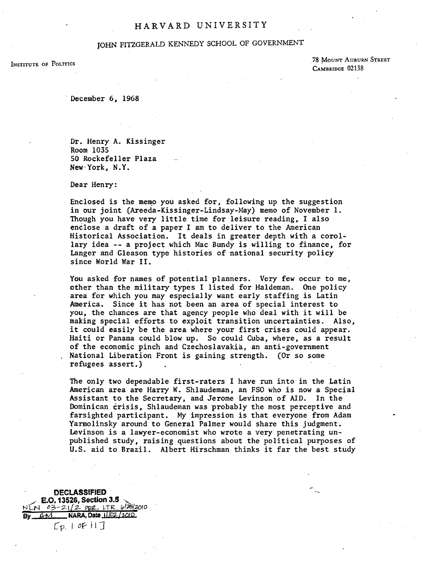## HARVARD UNIVERSITY

# JOHN FITZGERALD KENNEDY SCHOOL OF GOVERNMENT

INSTITUTE OF POLITICS

78 MOUNT AUBURN STREET CAMBRIDGE 02138

December 6, 1968

Dr. Henry A. Kissinger Room 1035 50 Rockefeller Plaza New-York, N.Y.

Dear Henry:

Enclosed is the memo you asked for, following up the suggestion in our joint (Areeda-Kissinger-Lindsay-May) memo of November 1. Though you have very little time for leisure reading, I also enclose a draft of a paper I am to deliver to the American Historical Association. It deals in greater depth with a corollary idea -- a project which Mac Bundy is willing to finance, for Langer and Gleason type histories of national security policy since World War II.

You asked for names of potential planners. Very few occur to me, other than the military types I listed for Haldeman. One policy area for which you may especially want early staffing is Latin America. Since it has not been an area of special interest to you, the chances are that agency people who deal with it will be making special efforts to exploit transition uncertainties. Also, it could easily be the area where your first crises could appear. Haiti or Panama could blow up. So could Cuba, where, as a result of the economic pinch and Czechoslavakia, an anti-government National Liberation Front is gaining strength. (Or so some refugees assert.)

The only two dependable first-raters I have run into in the Latin American area are Harry W. Shlaudeman, an FSO who is now a Special Assistant to the Secretary. and Jerome Levinson of AID. In the Dominican crisis, Shlaudeman was probably the most perceptive and farsighted participant. My impression is that everyone from Adam Yarmolinsky around to General Palmer would share this judgment. Levinson is a lawyer-economist who wrote a very penetrating unpublished study. raising questions about the political purposes of U.S. aid to Brazil. Albert Hirschman thinks it far the best study

'-

DECLASSIFIED<br>E.O. 13526, Section 3.5 NEN 03-21/2 PER. LTR. 6/2012010<br>By AM NARA, Date 11/02/2010 By **NARA**, Date 1102/2010  $[E_{p.} | \sigma F|]$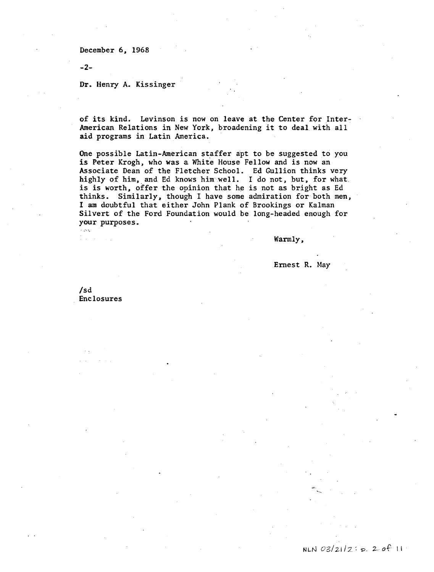December 6, 1968

-2-

### Dr. Henry A. Kissinger

of its kind. Levinson is now on leave at the Center for Inter-American Relations in New York, broadening it to deal with all aid programs in Latin America.

One possible Latin-American staffer apt to be suggested to you is Peter Krogh, who was a White House Fellow and is now an Associate Dean of the Fletcher School. Ed Gullion thinks very highly of him, and Ed knows him.well. I do not, but, for what. is is worth, offer the opinion that he is not as bright as Ed thinks. Similarly, though I have some admiration for both men, I am doubtful that either John Plank of Brookings or Kalman Silvert of the Ford Foundation would be long-headed enough for your purposes.

Warmly,

Ernest R. May

/sd Enclosures

 $\frac{1}{2} \left( \frac{1}{2} \right) \left( \frac{1}{2} \right)$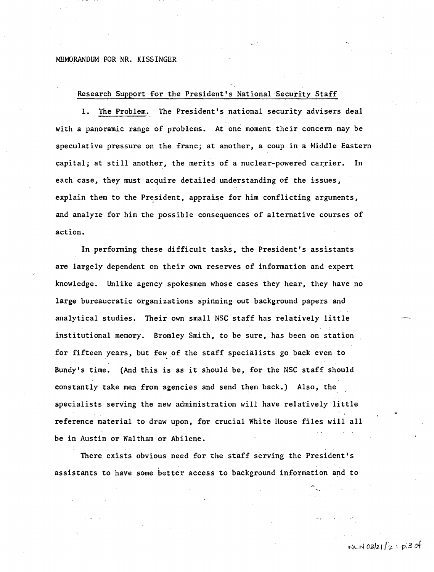#### MEMORANDUM FOR MR. KISSINGER

## Research Support for the President's National Security Staff

1. The Problem. The President's national security advisers deal with a panoramic range of problems. At one moment their concern may be speculative pressure on the franc; at another, a coup in a Middle Eastern capital; at still another, the merits of a nuclear-powered carrier. In each case, they must acquire detailed understanding of the issues, explain them to the President, appraise for him conflicting arguments, and analyze for him the possible consequences of alternative courses of action.

In performing these difficult tasks, the President's assistants are largely dependent on their own reserves of information and expert knowledge. Unlike agency spokesmen whose cases they hear, they have no large bureaucratic organizations spinning out background papers and analytical studies. Their own small NSC staff has relatively little institutional memory. Bromley Smith, to be sure, has been on station for fifteen years, but few of the staff specialists go back even to Bundy's time. (And this is as it should be, for the NSC staff should constantly take men from agencies and send them back.) Also, the specialists serving the new administration will have relatively little reference material to draw upon, for crucial White House files will all be in Austin or Waltham or Abilene.

There exists obvious need for the staff serving the President's assistants to have some better access to background information and to

 $NLM$  03/21/2: $R3$ of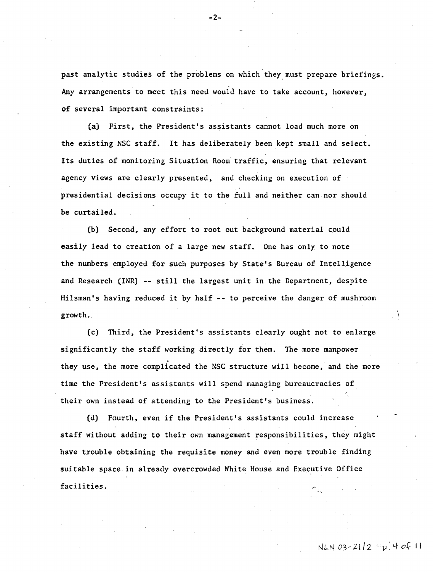past analytic studies of the problems on which they must prepare briefings. Any arrangements to meet this need would have to take account, however, of several important constraints:

(a) First, the President's assistants cannot load much more on the existing NSC staff. It has deliberately been kept small and select. Its duties of monitoring Situation Room traffic, ensuring that relevant agency views are clearly presented, and checking on execution of presidential decisions occupy it to the full and neither can nor should be curtailed.

(b) Second, any effort to root out background material could easily lead to creation of a large new staff. One has only to note the numbers employed for such purposes by State's Bureau of Intelligence and Research (INR) -- still the largest unit in the Department, despite Hilsman's having reduced it by half -- to perceive the danger of mushroom growth.

(c) Third, the President's assistants clearly ought not to enlarge significantly the staff working directly for them. The more manpower they use, the more complicated the NSC structure will become, and the more time the President's assistants will spend managing bureaucracies of their own instead of attending to the President's business.

(d) Fourth, even if the President's assistants could increase staff without adding to their own management responsibilities, they might have trouble obtaining the requisite money and even more trouble finding suitable space in already overcrowded White House and Executive Office facilities.

 $-2-$ 

 $\lambda$  $\left| \right\rangle$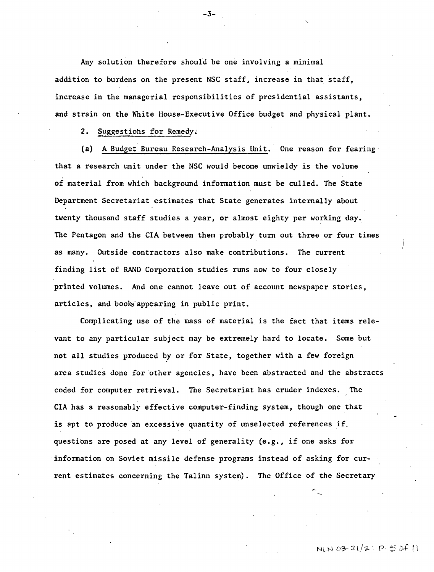Any solution therefore should be one involving a minimal addition to burdens on the present NSC staff, increase in that staff, increase in the managerial responsibilities of presidential assistants. and strain on the White House-Executive Office budget and physical plant.

2. Suggestiohs for Remedy;

Ca) A Budget Bureau Research-Analysis Unit. One reason for fearing that a research unit under the NSC would become unwieldy is the volume of material from which background information must be culled. The State Department Secretariat estimates that State generates internally about twenty thousand staff studies a year, or almost eighty per working day. The Pentagon and the CIA between them probably turn out three or four times as many. Outside contractors also make contributions. The current finding list of RAND Corporation studies runs now to four closely printed volumes. And one cannot leave out of account newspaper stories, articles, and books appearing in public print.

Complicating use of the mass of material is the fact that items relevant to any particular subject may be extremely hard to locate. Some but not all studies produced by or for State, together with a few foreign area studies done for other agencies, have been abstracted and the abstracts coded for computer retrieval. The Secretariat has cruder indexes. The CIA has a reasonably effective computer-finding system, though one that is apt to produce an excessive quantity of unselected references if. questions are posed at any level of generality (e.g., if one asks for information on Soviet missile defense programs instead of asking for current estimates concerning the Talinn system). The Office of the Secretary

N L.N *0'3>-* 2l/ "2-., p. *D+* I i

-3-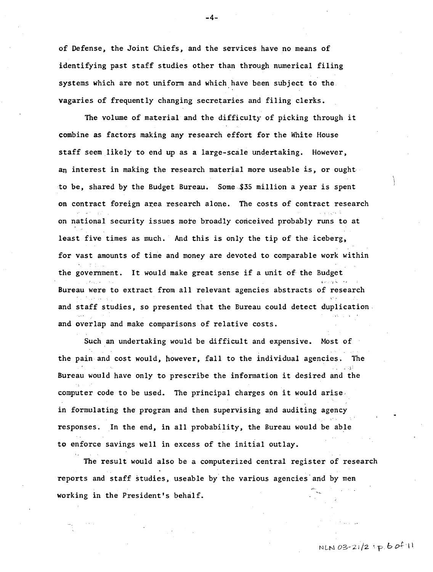of Defense, the Joint Chiefs, and the services have no means of identifying past staff studies other than through numerical filing systems which are not uniform and which have been subject to the. vagaries of frequently changing secretaries and filing clerks.

The volume of material and the difficulty of picking through it combine as factors making any research effort for the White House staff seem likely to end up as a large-scale undertaking. However, an interest in making the research material more useable is, or ought to be. shared by the Budget Bureau. Some.\$35 million a year is spent on contract foreign area research alone. The costs of contract research on national security issues more broadly conceived probably runs to at least five times as much. And this is only the tip of the iceberg, for vast amounts of time and money are devoted to comparable work within the government. It would make great sense if a unit of the Budget Bureau were to extract from all relevant agencies abstracts of research  $\mathcal{C}$  : and staff studies, so presented that the Bureau could detect duplication. and overlap and make comparisons of relative costs.

Such an undertaking would be difficult and expensive. Most of the pain and cost would. however, fall to the individual agencies. The  $,5^{\circ}$  . Bureau would have only to prescribe the information it desired and the computer code to be used. The principal charges on it would arise. in formulating the program and then supervising and auditing agency responses. In the end, in all probability. the Bureau would be able to enforce savings well in excess of the initial outlay.

The result would also be a computerized central register of research reports and staff studies, useable by the various agencies'and by men working in the President's behalf.

-4-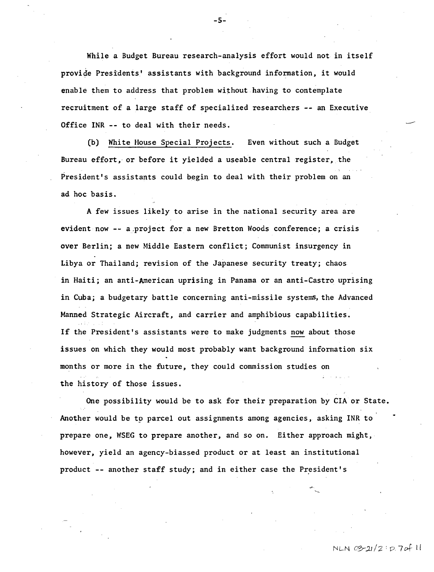While a Budget Bureau research-analysis effort would not in itself provide Presidents' assistants with background information, it would enable them to address that problem without having to contemplate recruitment of a large staff of specialized researchers -- an Executive Office INR -- to deal with their needs.

(b) White House Special Projects. Even without such a Budget Bureau effort, or before it yielded a useable central register, the President's assistants could begin to deal with their problem on an ad hoc basis.

A few issues likely to arise in the national security area are evident now -- a project for a new Bretton Woods conference; a crisis over Berlin; a new Middle Eastern conflict; Communist insurgency in Libya or Thailand; revision of the Japanese security treaty; chaos in Haiti; an anti-American uprising in Panama or an anti-Castro uprising in Cuba; a budgetary battle concerning anti-missile systems, the Advanced Manned Strategic Aircraft, and carrier and amphibious capabilities. If the President's assistants were to make judgments now about those issues on which they would most probably want background information six months or more in the future, they could commission studies on the history of those issues.

One possibility would be to ask for their preparation by CIA or State. Another would be to parcel out assignments among agencies, asking INR to prepare one, WSEG to prepare another, and so on. Either approach might, however, yield an agency-biassed product or at least an institutional product -- another staff study; and in either case the President's

NLN *C0-;1..1/2:* 17 7ot- II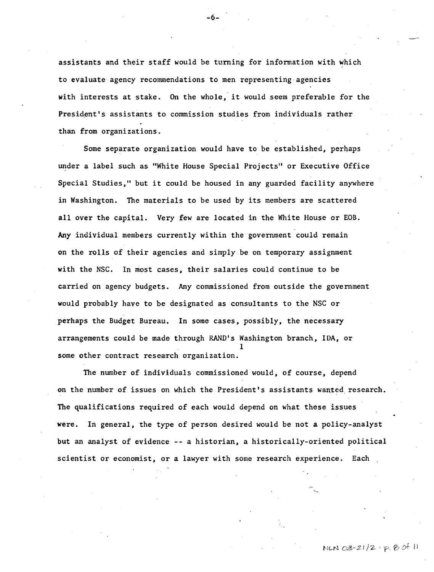assistants and their staff would be turning for information with which to evaluate agency recommendations to men representing agencies with interests at stake. On the whole, it would seem preferable for the President's assistants to commission studies from individuals rather than from organizations.

Some separate organization would have to be established, perhaps under a label such as "White House Special Projects" or Executive Office Special Studies," but it could be housed in any guarded facility anywhere in Washington. The materials to be used by its members are scattered all over the capital. Very few are located in the White House or EOB. Any individual members currently within the government could remain on the rolls of their agencies and simply be on temporary assignment with the NSC. In most cases, their salaries could continue to be carried on agency budgets. Any commissioned from outside the government would probably have to be designated as consultants to the NSC or perhaps the Budget Bureau. In some cases, possibly, the necessary arrangements could be made through RAND's Washington branch, IDA, or I some other contract research organization.

The number of individuals commissioned would, of course, depend on the number of issues on which the President's assistants wanted research. The qualifications required of each would depend on what these issues were. In general, the type of person desired would be not a policy-analyst but an analyst of evidence -- a historian, a historically-oriented political scientist or economist, or a lawyer with some research experience. Each

-6-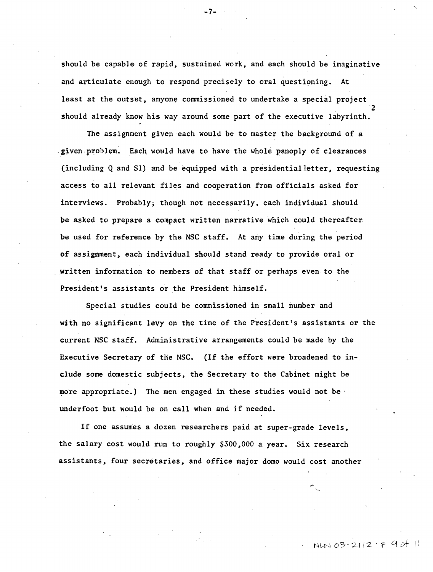should be capable of rapid, sustained work, and each should be imaginative and articulate enough to respond precisely to oral questioning. At least at the outset, anyone commissioned to undertake a special project 2 should already know his way around some part of the executive labyrinth.

-7-

The assignment given each would be to master the background of a ~given.problem. Each would have to have the whole panoply of clearances (including Q and Sl) and be equipped with a presidential letter , requesting access to all relevant files and cooperation from officials asked for interviews. Probably, though not necessarily, each individual should be asked to prepare a compact written narrative which could thereafter be used for reference by the NSC staff. At any time during the period of assignment, each individual should stand ready to provide oral or written information to members of that staff or perhaps even to the President's assistants or the President himself.

Special studies could be commissioned in small number and with no significant levy on the time of the President's assistants or the current NSC staff. Administrative arrangements could be made by the Executive Secretary of the NSC. (If the effort were broadened to inelude some domestic subjects, the Secretary to the Cabinet might be more appropriate.) The men engaged in these studies would not be. underfoot but would be on call when and if needed.

If one assumes a dozen researchers paid at super-grade levels, the salary cost would run to roughly \$300,000 a year. Six research assistants, four secretaries, and office major domo would cost another

NLN 03-21/2  $P.90f$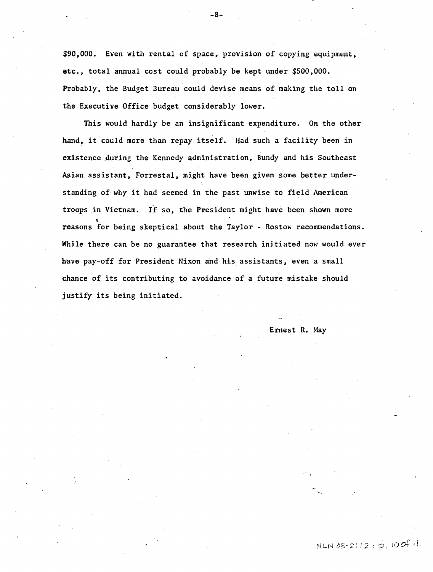\$90.000. Even with rental of space. provision of copying equipment. etc., total annual cost could probably be kept under \$500,000. Probably, the Budget Bureau could devise means of making the toll on the Executive Office budget considerably lower.

This would hardly be an insignificant expenditure. On the other hand, it could more than repay itself. Had such a facility been in existence during the Kennedy administration, Bundy and his Southeast Asian assistant, Forrestal, might have been given some better understanding of why it had seemed in the past unwise to field American troops in Vietnam. If so, the President might have been shown more 't reasons for being skeptical about the Taylor - Rostow recommendations. While there can be no guarantee that research initiated now would ever have pay-off for President Nixon and his assistants, even a small chance of its contributing to avoidance of a future mistake should justify its being initiated.

Ernest R. May

-8-